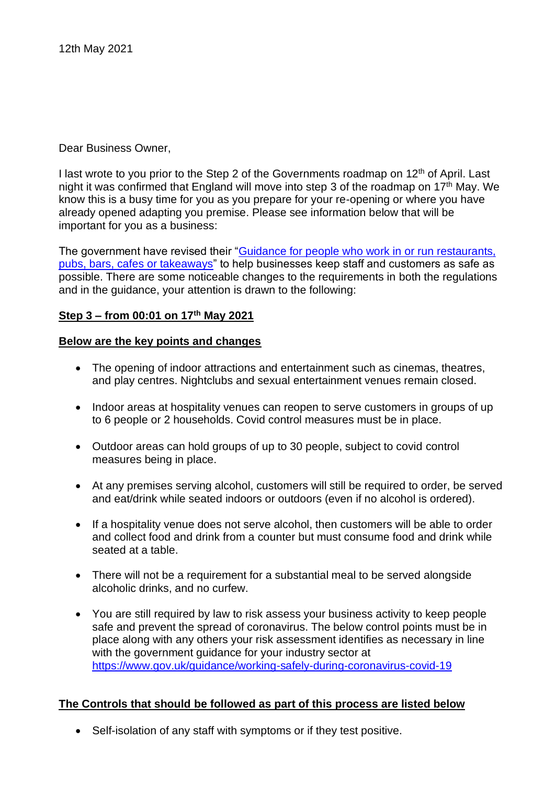Dear Business Owner,

I last wrote to you prior to the Step 2 of the Governments roadmap on 12<sup>th</sup> of April. Last night it was confirmed that England will move into step 3 of the roadmap on  $17<sup>th</sup>$  May. We know this is a busy time for you as you prepare for your re-opening or where you have already opened adapting you premise. Please see information below that will be important for you as a business:

The government have revised their "Guidance for people who work in or run restaurants, [pubs, bars, cafes or takeaways"](https://www.gov.uk/guidance/working-safely-during-coronavirus-covid-19/restaurants-offering-takeaway-or-delivery) to help businesses keep staff and customers as safe as possible. There are some noticeable changes to the requirements in both the regulations and in the guidance, your attention is drawn to the following:

# **Step 3 – from 00:01 on 17 th May 2021**

# **Below are the key points and changes**

- The opening of indoor attractions and entertainment such as cinemas, theatres, and play centres. Nightclubs and sexual entertainment venues remain closed.
- Indoor areas at hospitality venues can reopen to serve customers in groups of up to 6 people or 2 households. Covid control measures must be in place.
- Outdoor areas can hold groups of up to 30 people, subject to covid control measures being in place.
- At any premises serving alcohol, customers will still be required to order, be served and eat/drink while seated indoors or outdoors (even if no alcohol is ordered).
- If a hospitality venue does not serve alcohol, then customers will be able to order and collect food and drink from a counter but must consume food and drink while seated at a table.
- There will not be a requirement for a substantial meal to be served alongside alcoholic drinks, and no curfew.
- You are still required by law to risk assess your business activity to keep people safe and prevent the spread of coronavirus. The below control points must be in place along with any others your risk assessment identifies as necessary in line with the government guidance for your industry sector at <https://www.gov.uk/guidance/working-safely-during-coronavirus-covid-19>

# **The Controls that should be followed as part of this process are listed below**

• Self-isolation of any staff with symptoms or if they test positive.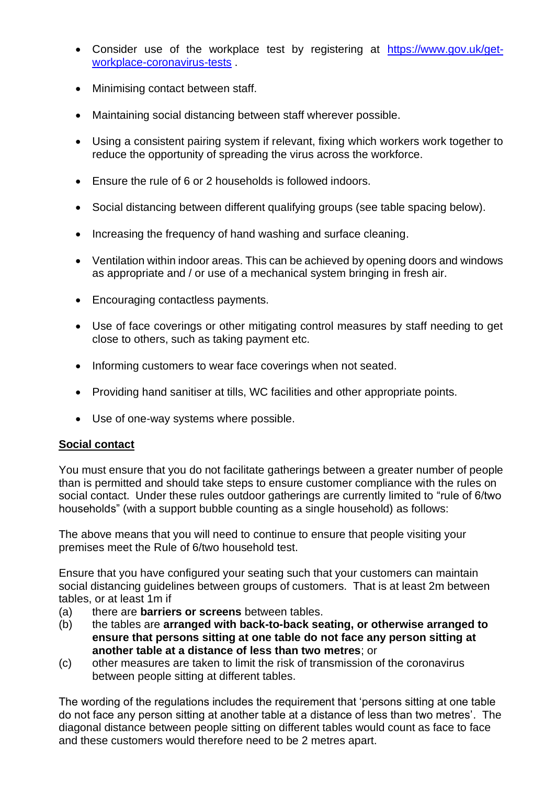- Consider use of the workplace test by registering at [https://www.gov.uk/get](https://www.gov.uk/get-workplace-coronavirus-tests)[workplace-coronavirus-tests](https://www.gov.uk/get-workplace-coronavirus-tests) .
- Minimising contact between staff.
- Maintaining social distancing between staff wherever possible.
- Using a consistent pairing system if relevant, fixing which workers work together to reduce the opportunity of spreading the virus across the workforce.
- Ensure the rule of 6 or 2 households is followed indoors.
- Social distancing between different qualifying groups (see table spacing below).
- Increasing the frequency of hand washing and surface cleaning.
- Ventilation within indoor areas. This can be achieved by opening doors and windows as appropriate and / or use of a mechanical system bringing in fresh air.
- Encouraging contactless payments.
- Use of face coverings or other mitigating control measures by staff needing to get close to others, such as taking payment etc.
- Informing customers to wear face coverings when not seated.
- Providing hand sanitiser at tills, WC facilities and other appropriate points.
- Use of one-way systems where possible.

# **Social contact**

You must ensure that you do not facilitate gatherings between a greater number of people than is permitted and should take steps to ensure customer compliance with the rules on social contact. Under these rules outdoor gatherings are currently limited to "rule of 6/two households" (with a support bubble counting as a single household) as follows:

The above means that you will need to continue to ensure that people visiting your premises meet the Rule of 6/two household test.

Ensure that you have configured your seating such that your customers can maintain social distancing guidelines between groups of customers. That is at least 2m between tables, or at least 1m if

- (a) there are **barriers or screens** between tables.
- (b) the tables are **arranged with back-to-back seating, or otherwise arranged to ensure that persons sitting at one table do not face any person sitting at another table at a distance of less than two metres**; or
- (c) other measures are taken to limit the risk of transmission of the coronavirus between people sitting at different tables.

The wording of the regulations includes the requirement that 'persons sitting at one table do not face any person sitting at another table at a distance of less than two metres'. The diagonal distance between people sitting on different tables would count as face to face and these customers would therefore need to be 2 metres apart.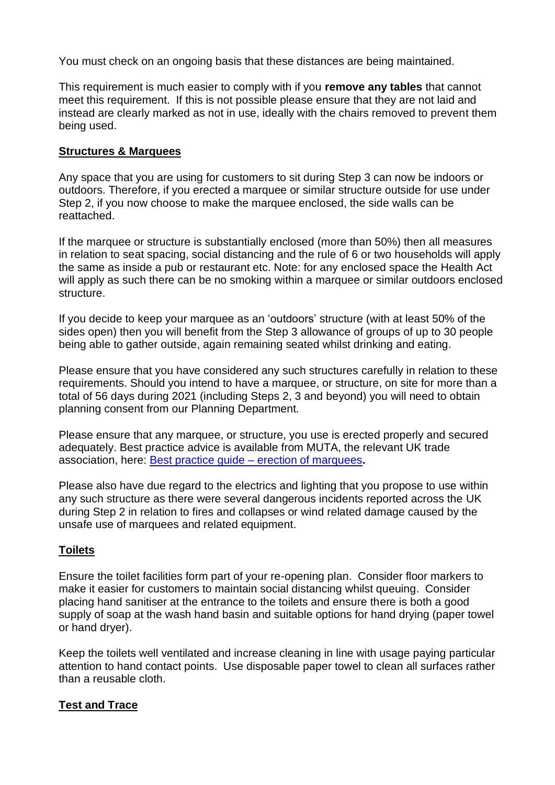You must check on an ongoing basis that these distances are being maintained.

This requirement is much easier to comply with if you **remove any tables** that cannot meet this requirement. If this is not possible please ensure that they are not laid and instead are clearly marked as not in use, ideally with the chairs removed to prevent them being used.

# **Structures & Marquees**

Any space that you are using for customers to sit during Step 3 can now be indoors or outdoors. Therefore, if you erected a marquee or similar structure outside for use under Step 2, if you now choose to make the marquee enclosed, the side walls can be reattached.

If the marquee or structure is substantially enclosed (more than 50%) then all measures in relation to seat spacing, social distancing and the rule of 6 or two households will apply the same as inside a pub or restaurant etc. Note: for any enclosed space the Health Act will apply as such there can be no smoking within a marquee or similar outdoors enclosed structure.

If you decide to keep your marquee as an 'outdoors' structure (with at least 50% of the sides open) then you will benefit from the Step 3 allowance of groups of up to 30 people being able to gather outside, again remaining seated whilst drinking and eating.

Please ensure that you have considered any such structures carefully in relation to these requirements. Should you intend to have a marquee, or structure, on site for more than a total of 56 days during 2021 (including Steps 2, 3 and beyond) you will need to obtain planning consent from our Planning Department.

Please ensure that any marquee, or structure, you use is erected properly and secured adequately. Best practice advice is available from MUTA, the relevant UK trade association, here: Best practice guide – [erection of marquees](https://www.muta.org.uk/MUTAMembers/media/MUTAMembersMedia/PDFs/MUTA-s-Best-Practice-Guide-v2.pdf)**.**

Please also have due regard to the electrics and lighting that you propose to use within any such structure as there were several dangerous incidents reported across the UK during Step 2 in relation to fires and collapses or wind related damage caused by the unsafe use of marquees and related equipment.

# **Toilets**

Ensure the toilet facilities form part of your re-opening plan. Consider floor markers to make it easier for customers to maintain social distancing whilst queuing. Consider placing hand sanitiser at the entrance to the toilets and ensure there is both a good supply of soap at the wash hand basin and suitable options for hand drying (paper towel or hand dryer).

Keep the toilets well ventilated and increase cleaning in line with usage paying particular attention to hand contact points. Use disposable paper towel to clean all surfaces rather than a reusable cloth.

# **Test and Trace**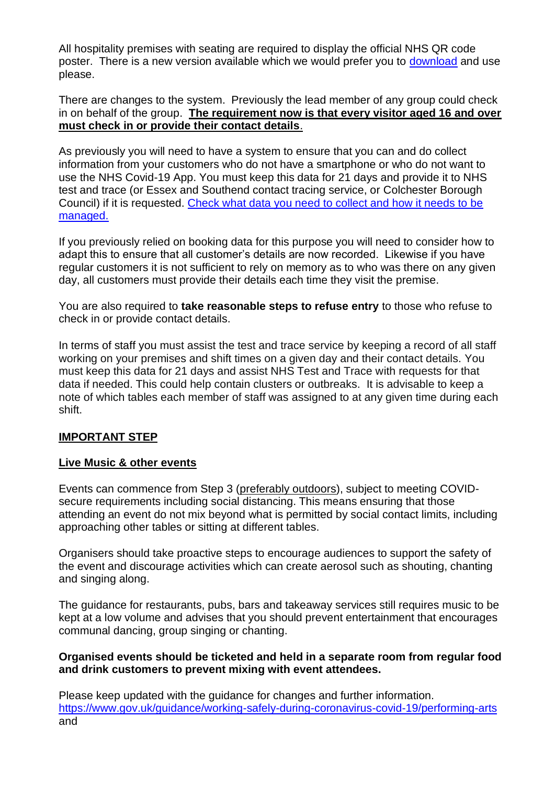All hospitality premises with seating are required to display the official NHS QR code poster. There is a new version available which we would prefer you to [download](https://www.gov.uk/create-coronavirus-qr-poster) and use please.

There are changes to the system. Previously the lead member of any group could check in on behalf of the group. **The requirement now is that every visitor aged 16 and over must check in or provide their contact details**.

As previously you will need to have a system to ensure that you can and do collect information from your customers who do not have a smartphone or who do not want to use the NHS Covid-19 App. You must keep this data for 21 days and provide it to NHS test and trace (or Essex and Southend contact tracing service, or Colchester Borough Council) if it is requested. [Check what data you need to collect and how it needs to be](https://www.gov.uk/guidance/maintaining-records-of-staff-customers-and-visitors-to-support-nhs-test-and-trace)  [managed.](https://www.gov.uk/guidance/maintaining-records-of-staff-customers-and-visitors-to-support-nhs-test-and-trace) 

If you previously relied on booking data for this purpose you will need to consider how to adapt this to ensure that all customer's details are now recorded. Likewise if you have regular customers it is not sufficient to rely on memory as to who was there on any given day, all customers must provide their details each time they visit the premise.

You are also required to **take reasonable steps to refuse entry** to those who refuse to check in or provide contact details.

In terms of staff you must assist the test and trace service by keeping a record of all staff working on your premises and shift times on a given day and their contact details. You must keep this data for 21 days and assist NHS Test and Trace with requests for that data if needed. This could help contain clusters or outbreaks. It is advisable to keep a note of which tables each member of staff was assigned to at any given time during each shift.

# **IMPORTANT STEP**

# **Live Music & other events**

Events can commence from Step 3 (preferably outdoors), subject to meeting COVIDsecure requirements including social distancing. This means ensuring that those attending an event do not mix beyond what is permitted by social contact limits, including approaching other tables or sitting at different tables.

Organisers should take proactive steps to encourage audiences to support the safety of the event and discourage activities which can create aerosol such as shouting, chanting and singing along.

The guidance for restaurants, pubs, bars and takeaway services still requires music to be kept at a low volume and advises that you should prevent entertainment that encourages communal dancing, group singing or chanting.

# **Organised events should be ticketed and held in a separate room from regular food and drink customers to prevent mixing with event attendees.**

Please keep updated with the guidance for changes and further information. <https://www.gov.uk/guidance/working-safely-during-coronavirus-covid-19/performing-arts> and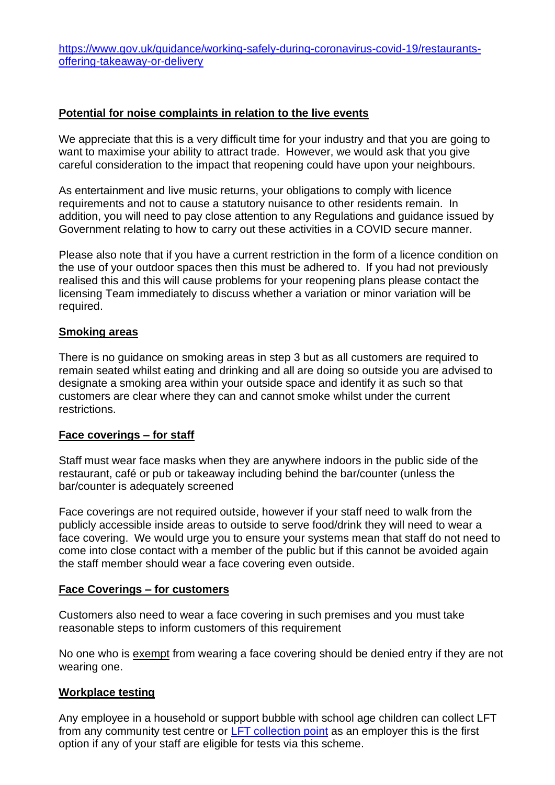[https://www.gov.uk/guidance/working-safely-during-coronavirus-covid-19/restaurants](https://www.gov.uk/guidance/working-safely-during-coronavirus-covid-19/restaurants-offering-takeaway-or-delivery)[offering-takeaway-or-delivery](https://www.gov.uk/guidance/working-safely-during-coronavirus-covid-19/restaurants-offering-takeaway-or-delivery)

### **Potential for noise complaints in relation to the live events**

We appreciate that this is a very difficult time for your industry and that you are going to want to maximise your ability to attract trade. However, we would ask that you give careful consideration to the impact that reopening could have upon your neighbours.

As entertainment and live music returns, your obligations to comply with licence requirements and not to cause a statutory nuisance to other residents remain. In addition, you will need to pay close attention to any Regulations and guidance issued by Government relating to how to carry out these activities in a COVID secure manner.

Please also note that if you have a current restriction in the form of a licence condition on the use of your outdoor spaces then this must be adhered to. If you had not previously realised this and this will cause problems for your reopening plans please contact the licensing Team immediately to discuss whether a variation or minor variation will be required.

### **Smoking areas**

There is no guidance on smoking areas in step 3 but as all customers are required to remain seated whilst eating and drinking and all are doing so outside you are advised to designate a smoking area within your outside space and identify it as such so that customers are clear where they can and cannot smoke whilst under the current restrictions.

#### **Face coverings – for staff**

Staff must wear face masks when they are anywhere indoors in the public side of the restaurant, café or pub or takeaway including behind the bar/counter (unless the bar/counter is adequately screened

Face coverings are not required outside, however if your staff need to walk from the publicly accessible inside areas to outside to serve food/drink they will need to wear a face covering. We would urge you to ensure your systems mean that staff do not need to come into close contact with a member of the public but if this cannot be avoided again the staff member should wear a face covering even outside.

#### **Face Coverings – for customers**

Customers also need to wear a face covering in such premises and you must take reasonable steps to inform customers of this requirement

No one who is [exempt](https://www.gov.uk/guidance/coronavirus-covid-19-safer-travel-guidance-for-passengers#exemptions-face-coverings) from wearing a face covering should be denied entry if they are not wearing one.

# **Workplace testing**

Any employee in a household or support bubble with school age children can collect LFT from any community test centre or [LFT collection point](https://www.essex.gov.uk/getting-tested-for-covid-19/lateral-flow-test-kit-collection-points) as an employer this is the first option if any of your staff are eligible for tests via this scheme.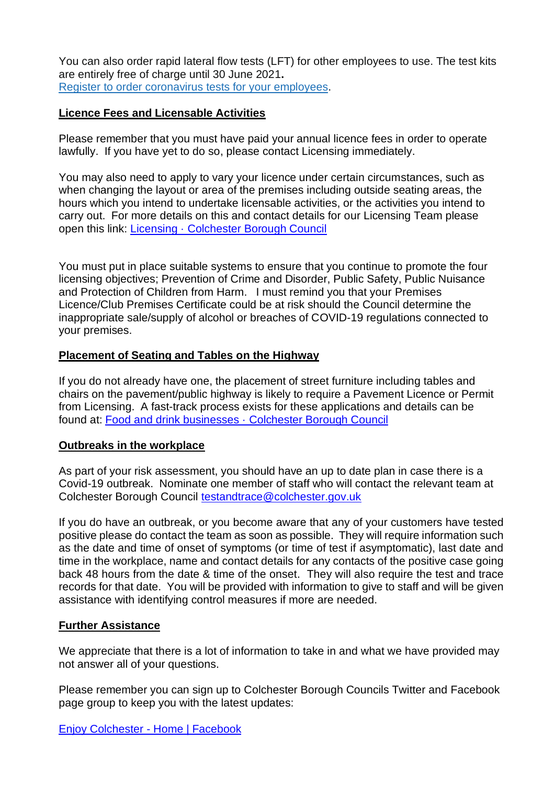You can also order rapid lateral flow tests (LFT) for other employees to use. The test kits are entirely free of charge until 30 June 2021**.** Register to order [coronavirus](https://www.gov.uk/get-workplace-coronavirus-tests) tests for your employees.

# **Licence Fees and Licensable Activities**

Please remember that you must have paid your annual licence fees in order to operate lawfully. If you have yet to do so, please contact Licensing immediately.

You may also need to apply to vary your licence under certain circumstances, such as when changing the layout or area of the premises including outside seating areas, the hours which you intend to undertake licensable activities, or the activities you intend to carry out. For more details on this and contact details for our Licensing Team please open this link: Licensing [· Colchester Borough Council](https://www.colchester.gov.uk/licensing/)

You must put in place suitable systems to ensure that you continue to promote the four licensing objectives; Prevention of Crime and Disorder, Public Safety, Public Nuisance and Protection of Children from Harm. I must remind you that your Premises Licence/Club Premises Certificate could be at risk should the Council determine the inappropriate sale/supply of alcohol or breaches of COVID-19 regulations connected to your premises.

# **Placement of Seating and Tables on the Highway**

If you do not already have one, the placement of street furniture including tables and chairs on the pavement/public highway is likely to require a Pavement Licence or Permit from Licensing. A fast-track process exists for these applications and details can be found at: Food and drink businesses [· Colchester Borough Council](https://www.colchester.gov.uk/coronavirus/businesses/food-and-drink-businesses/?id=&page=temporary--pavement--permits#temporary--pavement--permits)

# **Outbreaks in the workplace**

As part of your risk assessment, you should have an up to date plan in case there is a Covid-19 outbreak. Nominate one member of staff who will contact the relevant team at Colchester Borough Council [testandtrace@colchester.gov.uk](mailto:testandtrace@colchester.gov.uk)

If you do have an outbreak, or you become aware that any of your customers have tested positive please do contact the team as soon as possible. They will require information such as the date and time of onset of symptoms (or time of test if asymptomatic), last date and time in the workplace, name and contact details for any contacts of the positive case going back 48 hours from the date & time of the onset. They will also require the test and trace records for that date. You will be provided with information to give to staff and will be given assistance with identifying control measures if more are needed.

# **Further Assistance**

We appreciate that there is a lot of information to take in and what we have provided may not answer all of your questions.

Please remember you can sign up to Colchester Borough Councils Twitter and Facebook page group to keep you with the latest updates:

[Enjoy Colchester -](https://www.facebook.com/enjoycolchester) Home | Facebook